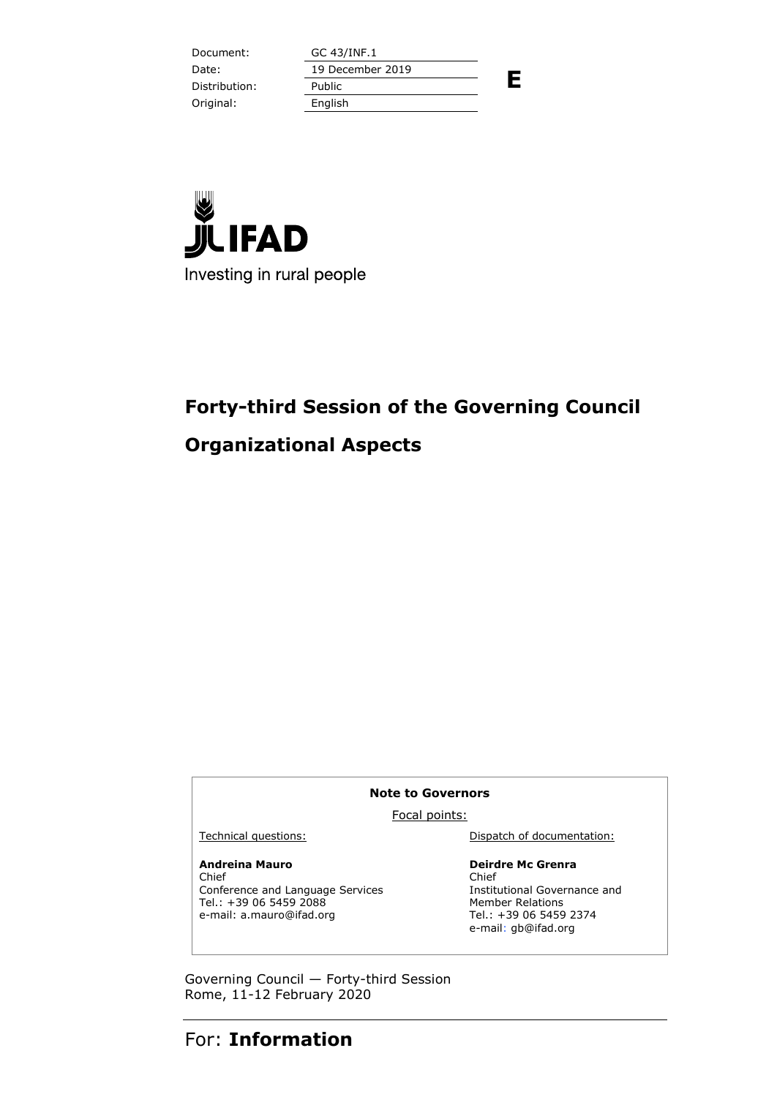Document: GC 43/INF.1 **E** Date: 19 December 2019 Distribution: Public Original: English



# **Forty-third Session of the Governing Council**

## **Organizational Aspects**

#### **Note to Governors**

Focal points:

### **Andreina Mauro**

Chief Conference and Language Services Tel.: +39 06 5459 2088 e-mail: a.mauro@ifad.org

Technical questions: Dispatch of documentation:

### **Deirdre Mc Grenra**

Chief Institutional Governance and Member Relations Tel.: +39 06 5459 2374 e-mail: gb@ifad.org

Governing Council — Forty-third Session Rome, 11-12 February 2020

# For: **Information**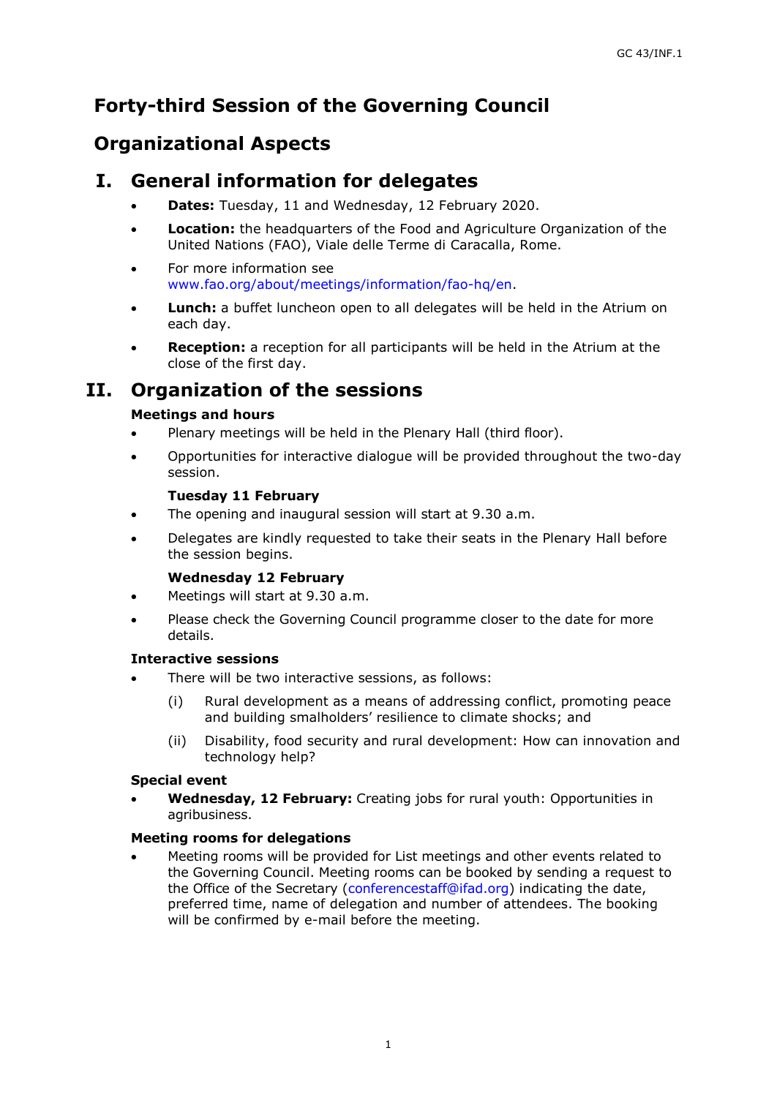# **Forty-third Session of the Governing Council**

## **Organizational Aspects**

### **I. General information for delegates**

- **Dates:** Tuesday, 11 and Wednesday, 12 February 2020.
- **Location:** the headquarters of the Food and Agriculture Organization of the United Nations (FAO), Viale delle Terme di Caracalla, Rome.
- For more information see [www.fao.org/about/meetings/information/fao-hq/en.](http://www.fao.org/about/meetings/information/fao-hq/en)
- Lunch: a buffet luncheon open to all delegates will be held in the Atrium on each day.
- **Reception:** a reception for all participants will be held in the Atrium at the close of the first day.

## **II. Organization of the sessions**

### **Meetings and hours**

- Plenary meetings will be held in the Plenary Hall (third floor).
- Opportunities for interactive dialogue will be provided throughout the two-day session.

### **Tuesday 11 February**

- The opening and inaugural session will start at 9.30 a.m.
- Delegates are kindly requested to take their seats in the Plenary Hall before the session begins.

### **Wednesday 12 February**

- Meetings will start at 9.30 a.m.
- Please check the Governing Council programme closer to the date for more details.

### **Interactive sessions**

- There will be two interactive sessions, as follows:
	- (i) Rural development as a means of addressing conflict, promoting peace and building smalholders' resilience to climate shocks; and
	- (ii) Disability, food security and rural development: How can innovation and technology help?

### **Special event**

 **Wednesday, 12 February:** Creating jobs for rural youth: Opportunities in agribusiness.

### **Meeting rooms for delegations**

 Meeting rooms will be provided for List meetings and other events related to the Governing Council. Meeting rooms can be booked by sending a request to the Office of the Secretary [\(conferencestaff@ifad.org\)](mailto:conferencestaff@ifad.org) indicating the date, preferred time, name of delegation and number of attendees. The booking will be confirmed by e-mail before the meeting.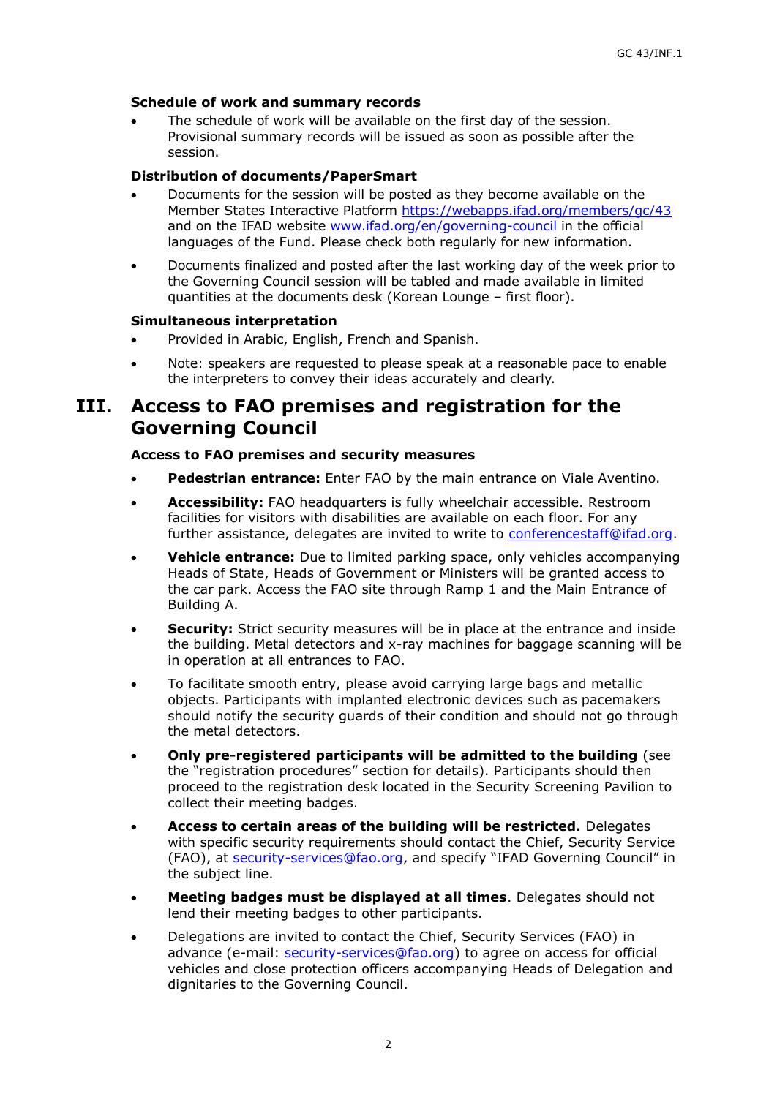#### **Schedule of work and summary records**

 The schedule of work will be available on the first day of the session. Provisional summary records will be issued as soon as possible after the session.

#### **Distribution of documents/PaperSmart**

- Documents for the session will be posted as they become available on the Member States Interactive Platform<https://webapps.ifad.org/members/gc/43> and on the IFAD website [www.ifad.org/en/governing-council](http://www.ifad.org/en/governing-council) in the official languages of the Fund. Please check both regularly for new information.
- Documents finalized and posted after the last working day of the week prior to the Governing Council session will be tabled and made available in limited quantities at the documents desk (Korean Lounge – first floor).

#### **Simultaneous interpretation**

- Provided in Arabic, English, French and Spanish.
- Note: speakers are requested to please speak at a reasonable pace to enable the interpreters to convey their ideas accurately and clearly.

## **III. Access to FAO premises and registration for the Governing Council**

#### **Access to FAO premises and security measures**

- **Pedestrian entrance:** Enter FAO by the main entrance on Viale Aventino.
- **Accessibility:** FAO headquarters is fully wheelchair accessible. Restroom facilities for visitors with disabilities are available on each floor. For any further assistance, delegates are invited to write to [conferencestaff@ifad.org.](mailto:conferencestaff@ifad.org)
- **Vehicle entrance:** Due to limited parking space, only vehicles accompanying Heads of State, Heads of Government or Ministers will be granted access to the car park. Access the FAO site through Ramp 1 and the Main Entrance of Building A.
- **Security:** Strict security measures will be in place at the entrance and inside the building. Metal detectors and x-ray machines for baggage scanning will be in operation at all entrances to FAO.
- To facilitate smooth entry, please avoid carrying large bags and metallic objects. Participants with implanted electronic devices such as pacemakers should notify the security guards of their condition and should not go through the metal detectors.
- **Only pre-registered participants will be admitted to the building** (see the "registration procedures" section for details). Participants should then proceed to the registration desk located in the Security Screening Pavilion to collect their meeting badges.
- **Access to certain areas of the building will be restricted.** Delegates with specific security requirements should contact the Chief, Security Service (FAO), at [security-services@fao.org](mailto:security-services@fao.org), and specify "IFAD Governing Council" in the subject line.
- **Meeting badges must be displayed at all times**. Delegates should not lend their meeting badges to other participants.
- Delegations are invited to contact the Chief, Security Services (FAO) in advance (e-mail: [security-services@fao.org\)](mailto:security-services@fao.org) to agree on access for official vehicles and close protection officers accompanying Heads of Delegation and dignitaries to the Governing Council.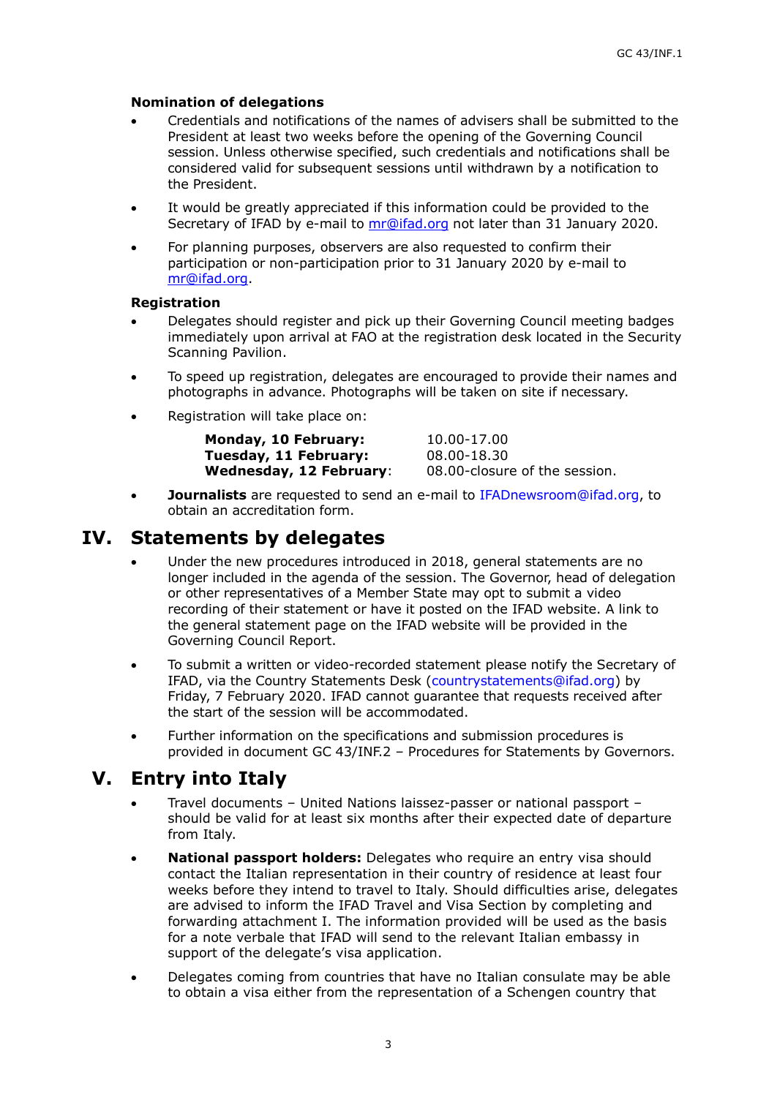### **Nomination of delegations**

- Credentials and notifications of the names of advisers shall be submitted to the President at least two weeks before the opening of the Governing Council session. Unless otherwise specified, such credentials and notifications shall be considered valid for subsequent sessions until withdrawn by a notification to the President.
- It would be greatly appreciated if this information could be provided to the Secretary of IFAD by e-mail to [mr@ifad.org](mailto:mr@ifad.org) not later than 31 January 2020.
- For planning purposes, observers are also requested to confirm their participation or non-participation prior to 31 January 2020 by e-mail to [mr@ifad.org.](mailto:mr@ifad.org)

#### **Registration**

- Delegates should register and pick up their Governing Council meeting badges immediately upon arrival at FAO at the registration desk located in the Security Scanning Pavilion.
- To speed up registration, delegates are encouraged to provide their names and photographs in advance. Photographs will be taken on site if necessary.
- Registration will take place on:

| Monday, 10 February:           | 10.00-17.00                   |
|--------------------------------|-------------------------------|
| Tuesday, 11 February:          | 08.00-18.30                   |
| <b>Wednesday, 12 February:</b> | 08.00-closure of the session. |

 **Journalists** are requested to send an e-mail to [IFADnewsroom@ifad.org,](mailto:IFADnewsroom@ifad.org) to obtain an accreditation form.

### **IV. Statements by delegates**

- Under the new procedures introduced in 2018, general statements are no longer included in the agenda of the session. The Governor, head of delegation or other representatives of a Member State may opt to submit a video recording of their statement or have it posted on the IFAD website. A link to the general statement page on the IFAD website will be provided in the Governing Council Report.
- To submit a written or video-recorded statement please notify the Secretary of IFAD, via the Country Statements Desk [\(countrystatements@ifad.org\)](mailto:countrystatements@ifad.org) by Friday, 7 February 2020. IFAD cannot guarantee that requests received after the start of the session will be accommodated.
- Further information on the specifications and submission procedures is provided in document GC 43/INF.2 – Procedures for Statements by Governors.

## **V. Entry into Italy**

- Travel documents United Nations laissez-passer or national passport should be valid for at least six months after their expected date of departure from Italy.
- **National passport holders:** Delegates who require an entry visa should contact the Italian representation in their country of residence at least four weeks before they intend to travel to Italy. Should difficulties arise, delegates are advised to inform the IFAD Travel and Visa Section by completing and forwarding attachment I. The information provided will be used as the basis for a note verbale that IFAD will send to the relevant Italian embassy in support of the delegate's visa application.
- Delegates coming from countries that have no Italian consulate may be able to obtain a visa either from the representation of a Schengen country that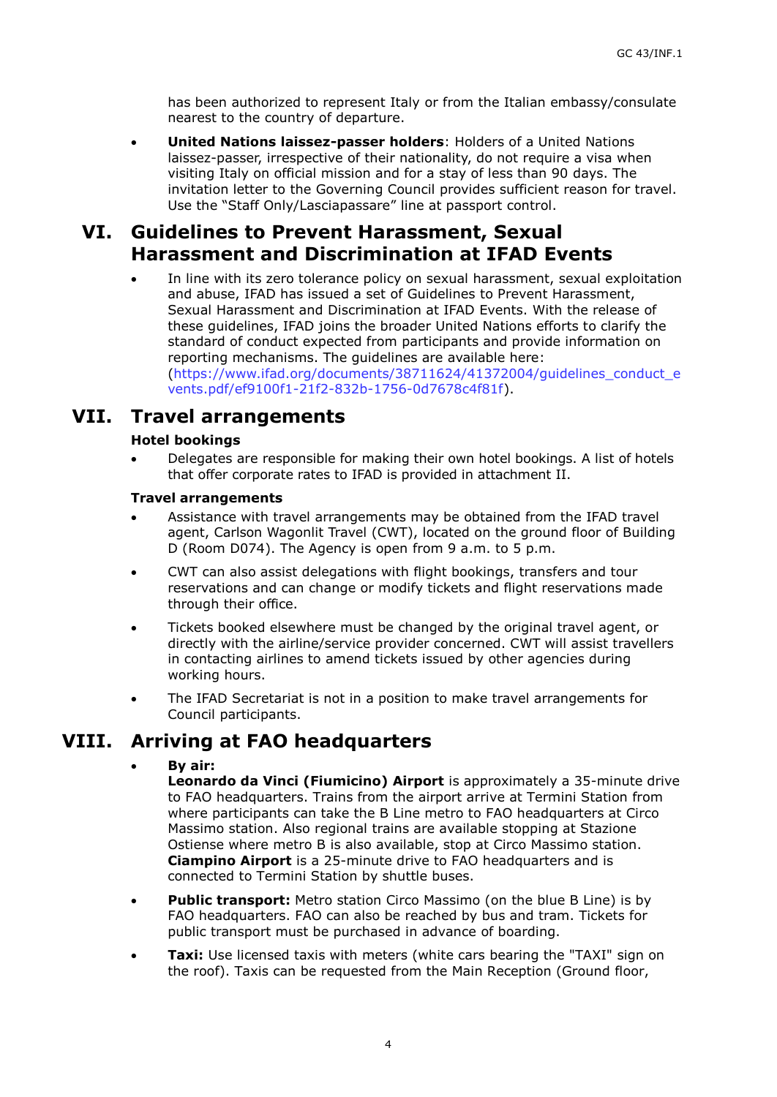has been authorized to represent Italy or from the Italian embassy/consulate nearest to the country of departure.

 **United Nations laissez-passer holders**: Holders of a United Nations laissez-passer, irrespective of their nationality, do not require a visa when visiting Italy on official mission and for a stay of less than 90 days. The invitation letter to the Governing Council provides sufficient reason for travel. Use the "Staff Only/Lasciapassare" line at passport control.

## **VI. Guidelines to Prevent Harassment, Sexual Harassment and Discrimination at IFAD Events**

 In line with its zero tolerance policy on sexual harassment, sexual exploitation and abuse, IFAD has issued a set of Guidelines to Prevent Harassment, Sexual Harassment and Discrimination at IFAD Events. With the release of these guidelines, IFAD joins the broader United Nations efforts to clarify the standard of conduct expected from participants and provide information on reporting mechanisms. The guidelines are available here: [\(https://www.ifad.org/documents/38711624/41372004/guidelines\\_conduct\\_e](https://www.ifad.org/documents/38711624/41372004/guidelines_conduct_events.pdf/ef9100f1-21f2-832b-1756-0d7678c4f81f) [vents.pdf/ef9100f1-21f2-832b-1756-0d7678c4f81f\)](https://www.ifad.org/documents/38711624/41372004/guidelines_conduct_events.pdf/ef9100f1-21f2-832b-1756-0d7678c4f81f).

### **VII. Travel arrangements**

### **Hotel bookings**

 Delegates are responsible for making their own hotel bookings. A list of hotels that offer corporate rates to IFAD is provided in attachment II.

### **Travel arrangements**

- Assistance with travel arrangements may be obtained from the IFAD travel agent, Carlson Wagonlit Travel (CWT), located on the ground floor of Building D (Room D074). The Agency is open from 9 a.m. to 5 p.m.
- CWT can also assist delegations with flight bookings, transfers and tour reservations and can change or modify tickets and flight reservations made through their office.
- Tickets booked elsewhere must be changed by the original travel agent, or directly with the airline/service provider concerned. CWT will assist travellers in contacting airlines to amend tickets issued by other agencies during working hours.
- The IFAD Secretariat is not in a position to make travel arrangements for Council participants.

## **VIII. Arriving at FAO headquarters**

### **By air:**

**Leonardo da Vinci (Fiumicino) Airport** is approximately a 35-minute drive to FAO headquarters. Trains from the airport arrive at Termini Station from where participants can take the B Line metro to FAO headquarters at Circo Massimo station. Also regional trains are available stopping at Stazione Ostiense where metro B is also available, stop at Circo Massimo station. **Ciampino Airport** is a 25-minute drive to FAO headquarters and is connected to Termini Station by shuttle buses.

- **Public transport:** Metro station Circo Massimo (on the blue B Line) is by FAO headquarters. FAO can also be reached by bus and tram. Tickets for public transport must be purchased in advance of boarding.
- **Taxi:** Use licensed taxis with meters (white cars bearing the "TAXI" sign on the roof). Taxis can be requested from the Main Reception (Ground floor,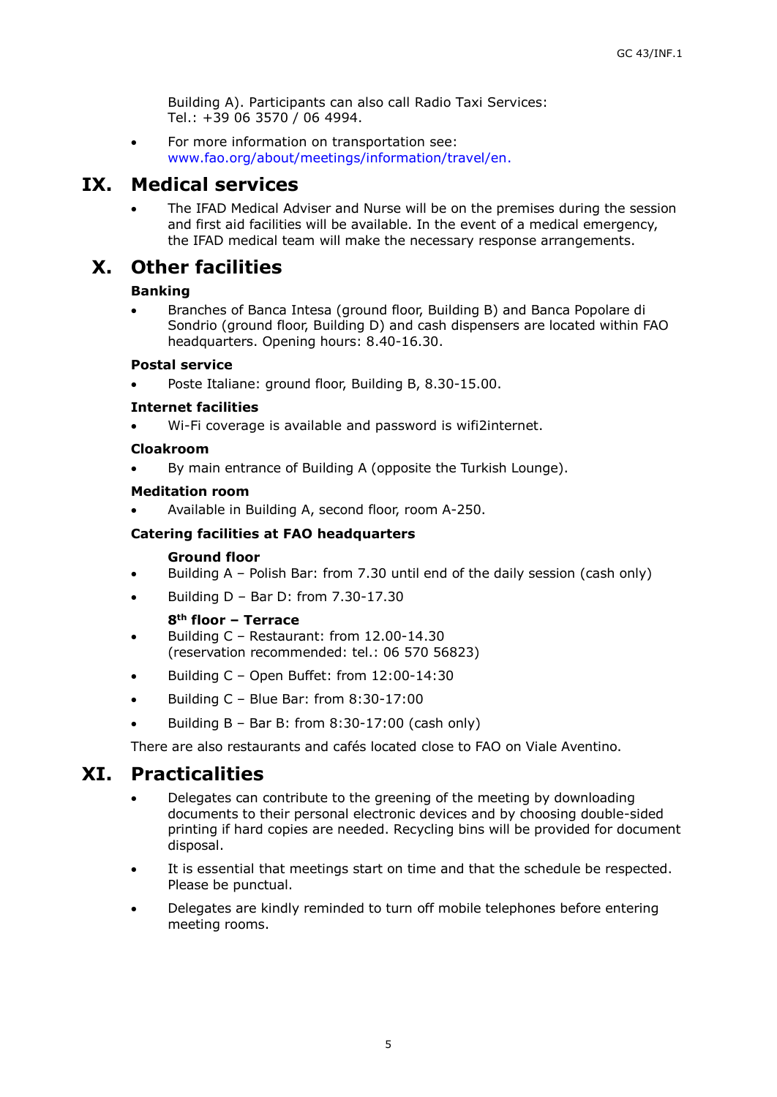Building A). Participants can also call Radio Taxi Services: Tel.: +39 06 3570 / 06 4994.

 For more information on transportation see: [www.fao.org/about/meetings/information/travel/en.](http://www.fao.org/about/meetings/information/travel/en/)

### **IX. Medical services**

 The IFAD Medical Adviser and Nurse will be on the premises during the session and first aid facilities will be available. In the event of a medical emergency, the IFAD medical team will make the necessary response arrangements.

## **X. Other facilities**

### **Banking**

 Branches of Banca Intesa (ground floor, Building B) and Banca Popolare di Sondrio (ground floor, Building D) and cash dispensers are located within FAO headquarters. Opening hours: 8.40-16.30.

### **Postal service**

Poste Italiane: ground floor, Building B, 8.30-15.00.

### **Internet facilities**

Wi-Fi coverage is available and password is wifi2internet.

### **Cloakroom**

By main entrance of Building A (opposite the Turkish Lounge).

### **Meditation room**

Available in Building A, second floor, room A-250.

### **Catering facilities at FAO headquarters**

### **Ground floor**

- Building A Polish Bar: from 7.30 until end of the daily session (cash only)
- Building D Bar D: from 7.30-17.30

### **8th floor – Terrace**

- Building C Restaurant: from 12.00-14.30 (reservation recommended: tel.: 06 570 56823)
- Building C Open Buffet: from 12:00-14:30
- Building C Blue Bar: from 8:30-17:00
- Building B Bar B: from 8:30-17:00 (cash only)

There are also restaurants and cafés located close to FAO on Viale Aventino.

### **XI. Practicalities**

- Delegates can contribute to the greening of the meeting by downloading documents to their personal electronic devices and by choosing double-sided printing if hard copies are needed. Recycling bins will be provided for document disposal.
- It is essential that meetings start on time and that the schedule be respected. Please be punctual.
- Delegates are kindly reminded to turn off mobile telephones before entering meeting rooms.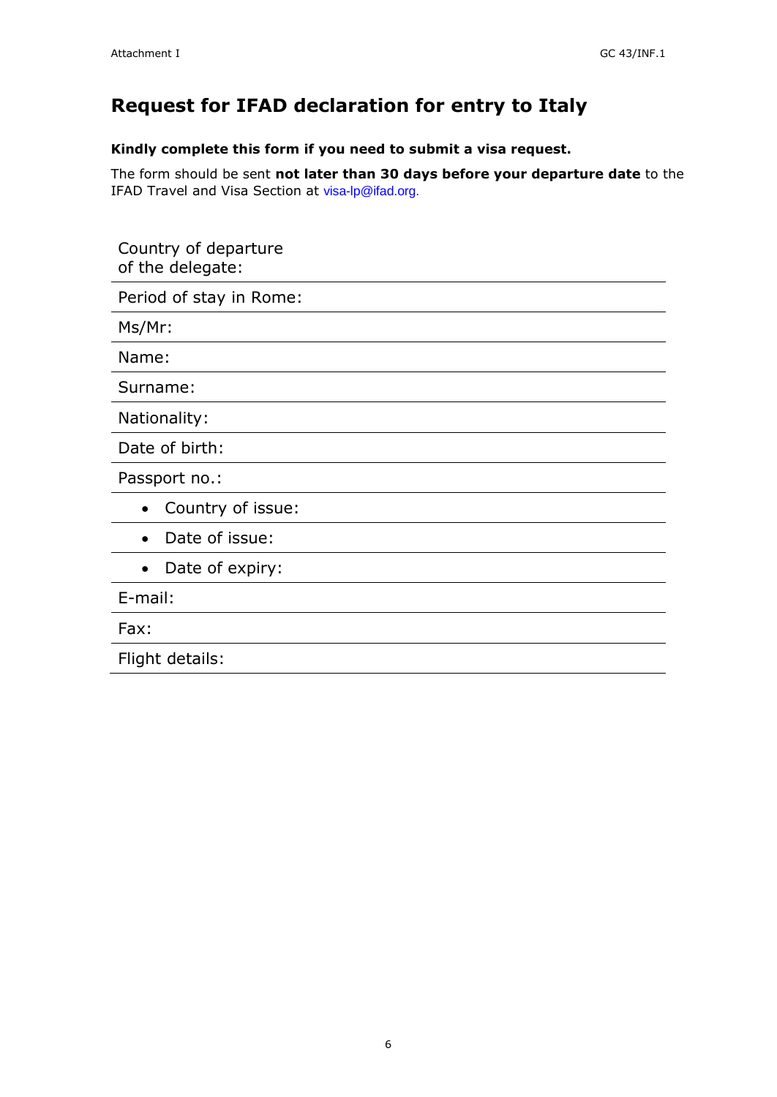# **Request for IFAD declaration for entry to Italy**

**Kindly complete this form if you need to submit a visa request.**

The form should be sent **not later than 30 days before your departure date** to the IFAD Travel and Visa Section at [visa-lp@ifad.org.](mailto:visa-lp@ifad.org)

| Country of departure<br>of the delegate: |
|------------------------------------------|
| Period of stay in Rome:                  |
| Ms/Mr:                                   |
| Name:                                    |
| Surname:                                 |
| Nationality:                             |
| Date of birth:                           |
| Passport no.:                            |
| Country of issue:<br>$\bullet$           |
| Date of issue:                           |
| Date of expiry:<br>$\bullet$             |
| E-mail:                                  |
| Fax:                                     |
| Flight details:                          |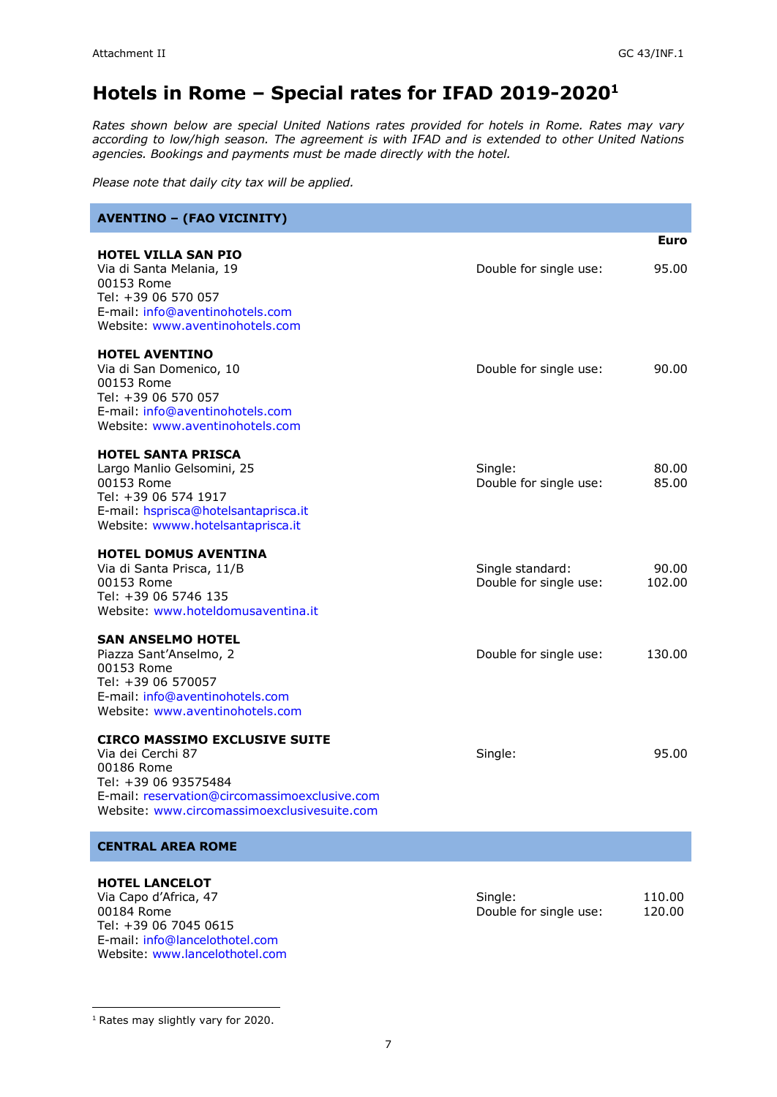# **Hotels in Rome – Special rates for IFAD 2019-2020<sup>1</sup>**

*Rates shown below are special United Nations rates provided for hotels in Rome. Rates may vary according to low/high season. The agreement is with IFAD and is extended to other United Nations agencies. Bookings and payments must be made directly with the hotel.*

*Please note that daily city tax will be applied.*

| <b>AVENTINO - (FAO VICINITY)</b>                                                                                                                                                                |                                            |                  |
|-------------------------------------------------------------------------------------------------------------------------------------------------------------------------------------------------|--------------------------------------------|------------------|
| <b>HOTEL VILLA SAN PIO</b><br>Via di Santa Melania, 19<br>00153 Rome<br>Tel: +39 06 570 057<br>E-mail: info@aventinohotels.com<br>Website: www.aventinohotels.com                               | Double for single use:                     | Euro<br>95.00    |
| <b>HOTEL AVENTINO</b><br>Via di San Domenico, 10<br>00153 Rome<br>Tel: +39 06 570 057<br>E-mail: info@aventinohotels.com<br>Website: www.aventinohotels.com                                     | Double for single use:                     | 90.00            |
| <b>HOTEL SANTA PRISCA</b><br>Largo Manlio Gelsomini, 25<br>00153 Rome<br>Tel: +39 06 574 1917<br>E-mail: hsprisca@hotelsantaprisca.it<br>Website: wwww.hotelsantaprisca.it                      | Single:<br>Double for single use:          | 80.00<br>85.00   |
| <b>HOTEL DOMUS AVENTINA</b><br>Via di Santa Prisca, 11/B<br>00153 Rome<br>Tel: +39 06 5746 135<br>Website: www.hoteldomusaventina.it                                                            | Single standard:<br>Double for single use: | 90.00<br>102.00  |
| <b>SAN ANSELMO HOTEL</b><br>Piazza Sant'Anselmo, 2<br>00153 Rome<br>Tel: +39 06 570057<br>E-mail: info@aventinohotels.com<br>Website: www.aventinohotels.com                                    | Double for single use:                     | 130.00           |
| <b>CIRCO MASSIMO EXCLUSIVE SUITE</b><br>Via dei Cerchi 87<br>00186 Rome<br>Tel: +39 06 93575484<br>E-mail: reservation@circomassimoexclusive.com<br>Website: www.circomassimoexclusivesuite.com | Single:                                    | 95.00            |
| <b>CENTRAL AREA ROME</b>                                                                                                                                                                        |                                            |                  |
| <b>HOTEL LANCELOT</b><br>Via Capo d'Africa, 47<br>00184 Rome<br>Tel: +39 06 7045 0615<br>E-mail: info@lancelothotel.com                                                                         | Single:<br>Double for single use:          | 110.00<br>120.00 |

Website: [www.lancelothotel.com](http://www.lancelothotel.com/)

<sup>1</sup> Rates may slightly vary for 2020.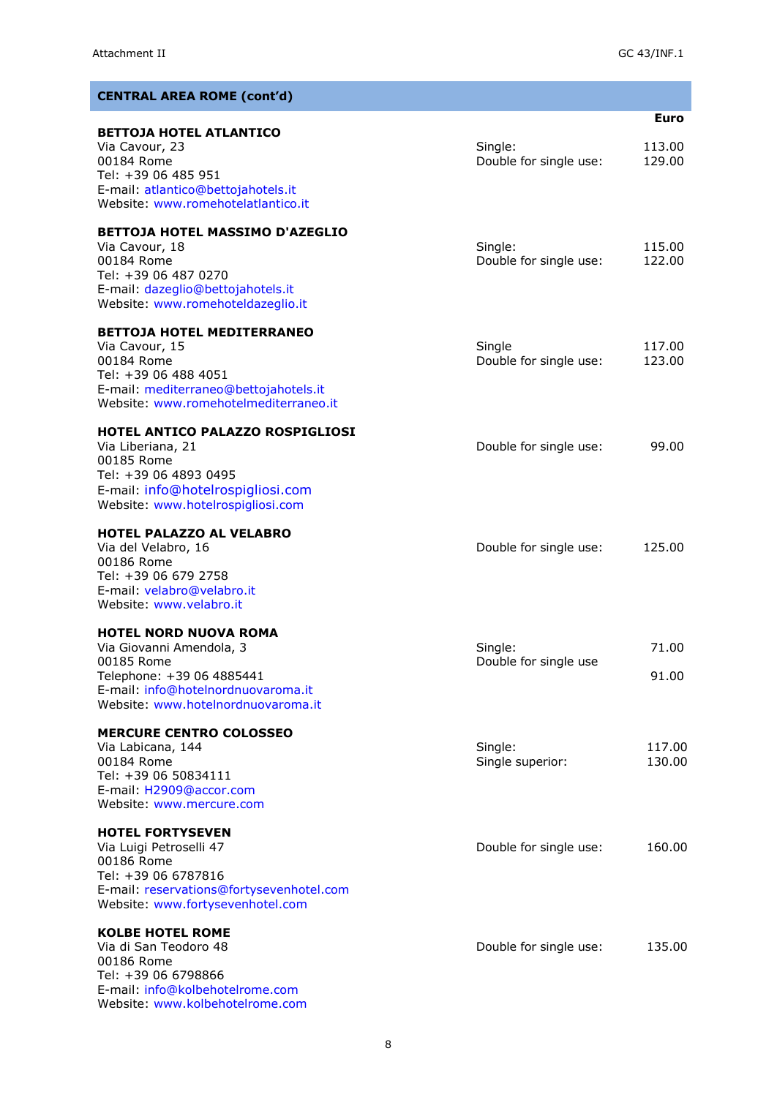| <b>CENTRAL AREA ROME (cont'd)</b>                                                                                                                                               |                                   |                  |
|---------------------------------------------------------------------------------------------------------------------------------------------------------------------------------|-----------------------------------|------------------|
|                                                                                                                                                                                 |                                   | <b>Euro</b>      |
| <b>BETTOJA HOTEL ATLANTICO</b><br>Via Cavour, 23<br>00184 Rome<br>Tel: +39 06 485 951<br>E-mail: atlantico@bettojahotels.it<br>Website: www.romehotelatlantico.it               | Single:<br>Double for single use: | 113.00<br>129.00 |
| <b>BETTOJA HOTEL MASSIMO D'AZEGLIO</b><br>Via Cavour, 18<br>00184 Rome<br>Tel: +39 06 487 0270<br>E-mail: dazeglio@bettojahotels.it<br>Website: www.romehoteldazeglio.it        | Single:<br>Double for single use: | 115.00<br>122.00 |
| <b>BETTOJA HOTEL MEDITERRANEO</b><br>Via Cavour, 15<br>00184 Rome<br>Tel: +39 06 488 4051<br>E-mail: mediterraneo@bettojahotels.it<br>Website: www.romehotelmediterraneo.it     | Single<br>Double for single use:  | 117.00<br>123.00 |
| HOTEL ANTICO PALAZZO ROSPIGLIOSI<br>Via Liberiana, 21<br>00185 Rome<br>Tel: +39 06 4893 0495<br>E-mail: info@hotelrospigliosi.com<br>Website: www.hotelrospigliosi.com          | Double for single use:            | 99.00            |
| <b>HOTEL PALAZZO AL VELABRO</b><br>Via del Velabro, 16<br>00186 Rome<br>Tel: +39 06 679 2758<br>E-mail: velabro@velabro.it<br>Website: www.yelabro.it                           | Double for single use:            | 125.00           |
| <b>HOTEL NORD NUOVA ROMA</b><br>Via Giovanni Amendola, 3<br>00185 Rome<br>Telephone: +39 06 4885441<br>E-mail: info@hotelnordnuovaroma.it<br>Website: www.hotelnordnuovaroma.it | Single:<br>Double for single use  | 71.00<br>91.00   |
| <b>MERCURE CENTRO COLOSSEO</b><br>Via Labicana, 144<br>00184 Rome<br>Tel: +39 06 50834111<br>E-mail: H2909@accor.com<br>Website: www.mercure.com                                | Single:<br>Single superior:       | 117.00<br>130.00 |
| <b>HOTEL FORTYSEVEN</b><br>Via Luigi Petroselli 47<br>00186 Rome<br>Tel: +39 06 6787816<br>E-mail: reservations@fortysevenhotel.com<br>Website: www.fortysevenhotel.com         | Double for single use:            | 160.00           |
| <b>KOLBE HOTEL ROME</b><br>Via di San Teodoro 48<br>00186 Rome<br>Tel: +39 06 6798866<br>E-mail: info@kolbehotelrome.com<br>Website: www.kolbehotelrome.com                     | Double for single use:            | 135.00           |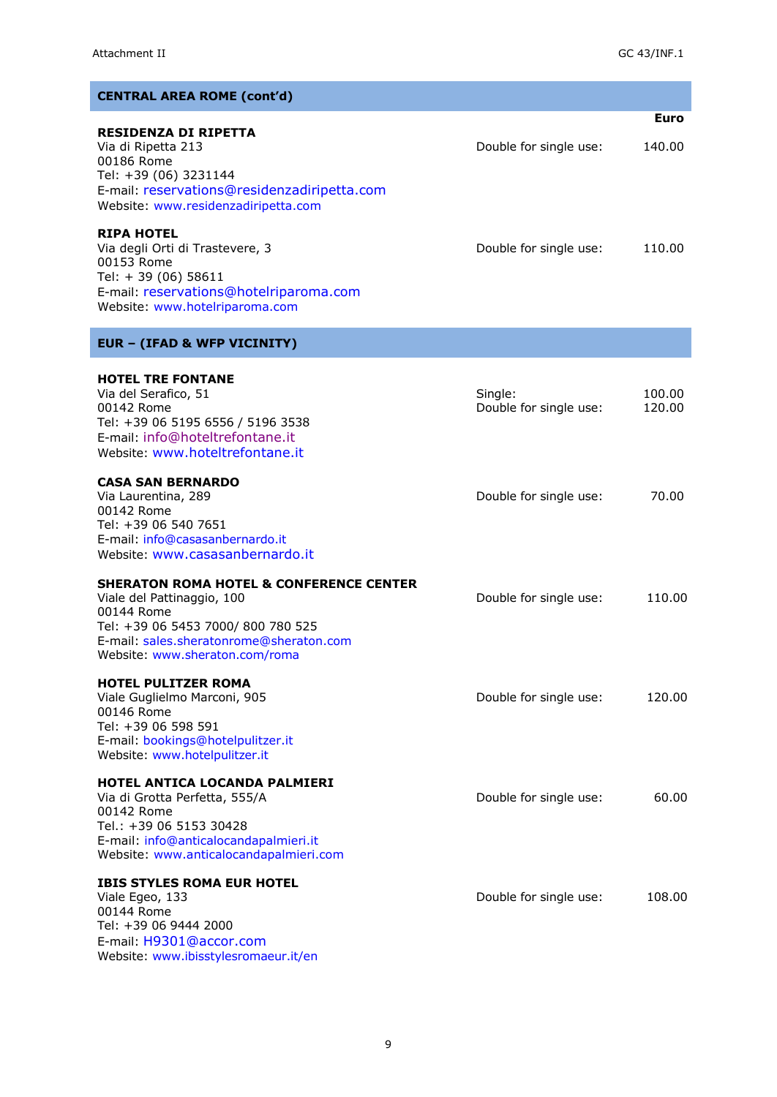| <b>CENTRAL AREA ROME (cont'd)</b>                                                                                                                                                                                 |                                   |                       |
|-------------------------------------------------------------------------------------------------------------------------------------------------------------------------------------------------------------------|-----------------------------------|-----------------------|
| <b>RESIDENZA DI RIPETTA</b><br>Via di Ripetta 213<br>00186 Rome<br>Tel: +39 (06) 3231144<br>E-mail: reservations@residenzadiripetta.com<br>Website: www.residenzadiripetta.com                                    | Double for single use:            | <b>Euro</b><br>140.00 |
| <b>RIPA HOTEL</b><br>Via degli Orti di Trastevere, 3<br>00153 Rome<br>Tel: +39 (06) 58611<br>E-mail: reservations@hotelriparoma.com<br>Website: www.hotelriparoma.com                                             | Double for single use:            | 110.00                |
| <b>EUR - (IFAD &amp; WFP VICINITY)</b>                                                                                                                                                                            |                                   |                       |
| <b>HOTEL TRE FONTANE</b><br>Via del Serafico, 51<br>00142 Rome<br>Tel: +39 06 5195 6556 / 5196 3538<br>E-mail: info@hoteltrefontane.it<br>Website: www.hoteltrefontane.it                                         | Single:<br>Double for single use: | 100.00<br>120.00      |
| <b>CASA SAN BERNARDO</b><br>Via Laurentina, 289<br>00142 Rome<br>Tel: +39 06 540 7651<br>E-mail: info@casasanbernardo.it<br>Website: www.casasanbernardo.it                                                       | Double for single use:            | 70.00                 |
| <b>SHERATON ROMA HOTEL &amp; CONFERENCE CENTER</b><br>Viale del Pattinaggio, 100<br>00144 Rome<br>Tel: +39 06 5453 7000/ 800 780 525<br>E-mail: sales.sheratonrome@sheraton.com<br>Website: www.sheraton.com/roma | Double for single use:            | 110.00                |
| <b>HOTEL PULITZER ROMA</b><br>Viale Guglielmo Marconi, 905<br>00146 Rome<br>Tel: +39 06 598 591<br>E-mail: bookings@hotelpulitzer.it<br>Website: www.hotelpulitzer.it                                             | Double for single use:            | 120.00                |
| <b>HOTEL ANTICA LOCANDA PALMIERI</b><br>Via di Grotta Perfetta, 555/A<br>00142 Rome<br>Tel.: +39 06 5153 30428<br>E-mail: info@anticalocandapalmieri.it<br>Website: www.anticalocandapalmieri.com                 | Double for single use:            | 60.00                 |
| <b>IBIS STYLES ROMA EUR HOTEL</b><br>Viale Egeo, 133<br>00144 Rome<br>Tel: +39 06 9444 2000<br>E-mail: H9301@accor.com                                                                                            | Double for single use:            | 108.00                |

Website: [www.ibisstylesromaeur.it/en](http://www.ibisstylesromaeur.it/en)